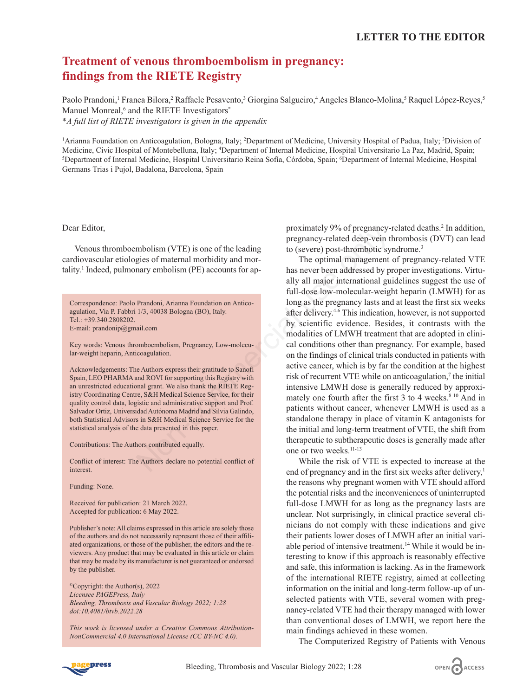## **Treatment of venous thromboembolism in pregnancy: findings from the RIETE Registry**

Paolo Prandoni,<sup>1</sup> Franca Bilora,<sup>2</sup> Raffaele Pesavento,<sup>3</sup> Giorgina Salgueiro,<sup>4</sup> Angeles Blanco-Molina,<sup>5</sup> Raquel López-Reyes,<sup>5</sup> Manuel Monreal,<sup>6</sup> and the RIETE Investigators<sup>\*</sup> *\*A full list of RIETE investigators is given in the appendix*

<sup>1</sup>Arianna Foundation on Anticoagulation, Bologna, Italy; <sup>2</sup>Department of Medicine, University Hospital of Padua, Italy; <sup>3</sup>Division of Medicine, Civic Hospital of Montebelluna, Italy; 4 Department of Internal Medicine, Hospital Universitario La Paz, Madrid, Spain; 5 Department of Internal Medicine, Hospital Universitario Reina Sofía, Córdoba, Spain; 6 Department of Internal Medicine, Hospital Germans Trias i Pujol, Badalona, Barcelona, Spain

Dear Editor,

Venous thromboembolism (VTE) is one of the leading cardiovascular etiologies of maternal morbidity and mortality.<sup>1</sup> Indeed, pulmonary embolism (PE) accounts for ap-

Correspondence: Paolo Prandoni, Arianna Foundation on Anticoagulation, Via P. Fabbri 1/3, 40038 Bologna (BO), Italy. Tel.: +39.340.2808202. E-mail: prandonip@gmail.com

Key words: Venous thromboembolism, Pregnancy, Low-molecular-weight heparin, Anticoagulation.

Acknowledgements: The Authors express their gratitude to Sanofi Spain, LEO PHARMA and ROVI for supporting this Registry with an unrestricted educational grant. We also thank the RIETE Registry Coordinating Centre, S&H Medical Science Service, for their quality control data, logistic and administrative support and Prof. Salvador Ortiz, Universidad Autónoma Madrid and Silvia Galindo, both Statistical Advisors in S&H Medical Science Service for the statistical analysis of the data presented in this paper.

Contributions: The Authors contributed equally.

Conflict of interest: The Authors declare no potential conflict of interest.

Funding: None.

Received for publication: 21 March 2022. Accepted for publication: 6 May 2022.

Publisher's note: All claims expressed in this article are solely those of the authors and do not necessarily represent those of their affiliated organizations, or those of the publisher, the editors and the reviewers. Any product that may be evaluated in this article or claim that may be made by its manufacturer is not guaranteed or endorsed by the publisher.

©Copyright: the Author(s), 2022 *Licensee PAGEPress, Italy Bleeding, Thrombosis and Vascular Biology 2022; 1:28 doi:10.4081/btvb.2022.28*

*This work is licensed under a Creative Commons Attribution-NonCommercial 4.0 International License (CC BY-NC 4.0).*

proximately 9% of pregnancy-related deaths.<sup>2</sup> In addition, pregnancy-related deep-vein thrombosis (DVT) can lead to (severe) post-thrombotic syndrome.<sup>3</sup>

The optimal management of pregnancy-related VTE has never been addressed by proper investigations. Virtually all major international guidelines suggest the use of full-dose low-molecular-weight heparin (LMWH) for as long as the pregnancy lasts and at least the first six weeks after delivery.4-6 This indication, however, is not supported by scientific evidence. Besides, it contrasts with the modalities of LMWH treatment that are adopted in clinical conditions other than pregnancy. For example, based on the findings of clinical trials conducted in patients with active cancer, which is by far the condition at the highest risk of recurrent VTE while on anticoagulation, $\tau$  the initial intensive LMWH dose is generally reduced by approximately one fourth after the first  $3$  to  $4$  weeks.<sup>8-10</sup> And in patients without cancer, whenever LMWH is used as a standalone therapy in place of vitamin K antagonists for the initial and long-term treatment of VTE, the shift from therapeutic to subtherapeutic doses is generally made after one or two weeks.11-13 molism (VTE) is one of the leading<br>
to (severe) post-thrombotic sy<br>
gies of maternal morbidity and mor-<br>
to (severe) post-thrombotic sy<br>
gies of maternal morbidity and mor-<br>
The optimal management<br>
ally all major internati

While the risk of VTE is expected to increase at the end of pregnancy and in the first six weeks after delivery,<sup>1</sup> the reasons why pregnant women with VTE should afford the potential risks and the inconveniences of uninterrupted full-dose LMWH for as long as the pregnancy lasts are unclear. Not surprisingly, in clinical practice several clinicians do not comply with these indications and give their patients lower doses of LMWH after an initial variable period of intensive treatment.14 While it would be interesting to know if this approach is reasonably effective and safe, this information is lacking. As in the framework of the international RIETE registry, aimed at collecting information on the initial and long-term follow-up of unselected patients with VTE, several women with pregnancy-related VTE had their therapy managed with lower than conventional doses of LMWH, we report here the main findings achieved in these women.

The Computerized Registry of Patients with Venous

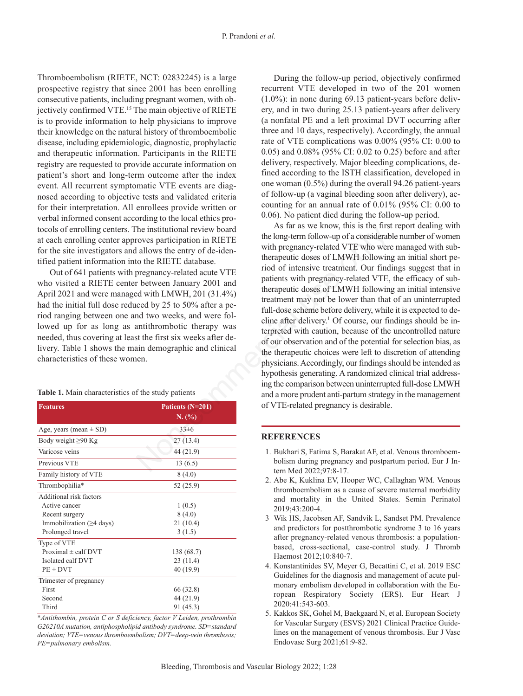Thromboembolism (RIETE, NCT: 02832245) is a large prospective registry that since 2001 has been enrolling consecutive patients, including pregnant women, with objectively confirmed VTE.<sup>15</sup> The main objective of RIETE is to provide information to help physicians to improve their knowledge on the natural history of thromboembolic disease, including epidemiologic, diagnostic, prophylactic and therapeutic information. Participants in the RIETE registry are requested to provide accurate information on patient's short and long-term outcome after the index event. All recurrent symptomatic VTE events are diagnosed according to objective tests and validated criteria for their interpretation. All enrollees provide written or verbal informed consent according to the local ethics protocols of enrolling centers. The institutional review board at each enrolling center approves participation in RIETE for the site investigators and allows the entry of de-identified patient information into the RIETE database.

Out of 641 patients with pregnancy-related acute VTE who visited a RIETE center between January 2001 and April 2021 and were managed with LMWH, 201 (31.4%) had the initial full dose reduced by 25 to 50% after a period ranging between one and two weeks, and were followed up for as long as antithrombotic therapy was needed, thus covering at least the first six weeks after delivery. Table 1 shows the main demographic and clinical characteristics of these women.

## **Table 1.** Main characteristics of the study patients

| <b>Features</b>                | Patients $(N=201)$<br>N. (%) |
|--------------------------------|------------------------------|
| Age, years (mean $\pm$ SD)     | 33±6                         |
| Body weight $\geq 90$ Kg       | 27(13.4)                     |
| Varicose veins                 | 44 (21.9)                    |
| Previous VTE                   | 13(6.5)                      |
| Family history of VTE          | 8(4.0)                       |
| Thrombophilia*                 | 52 (25.9)                    |
| Additional risk factors        |                              |
| Active cancer                  | 1(0.5)                       |
| Recent surgery                 | 8(4.0)                       |
| Immobilization $(\geq 4$ days) | 21(10.4)                     |
| Prolonged travel               | 3(1.5)                       |
| Type of VTE                    |                              |
| Proximal $\pm$ calf DVT        | 138 (68.7)                   |
| Isolated calf DVT              | 23(11.4)                     |
| $PE \pm DVT$                   | 40 (19.9)                    |
| Trimester of pregnancy         |                              |
| First                          | 66 (32.8)                    |
| Second                         | 44 (21.9)                    |
| Third                          | 91 (45.3)                    |

*\*Antithombin, protein C or S deficiency, factor V Leiden, prothrombin G20210A mutation, antiphospholipid antibody syndrome. SD=standard deviation; VTE=venous thromboembolism; DVT=deep-vein thrombosis; PE=pulmonary embolism.*

During the follow-up period, objectively confirmed recurrent VTE developed in two of the 201 women (1.0%): in none during 69.13 patient-years before delivery, and in two during 25.13 patient-years after delivery (a nonfatal PE and a left proximal DVT occurring after three and 10 days, respectively). Accordingly, the annual rate of VTE complications was 0.00% (95% CI: 0.00 to 0.05) and 0.08% (95% CI: 0.02 to 0.25) before and after delivery, respectively. Major bleeding complications, defined according to the ISTH classification, developed in one woman (0.5%) during the overall 94.26 patient-years of follow-up (a vaginal bleeding soon after delivery), accounting for an annual rate of 0.01% (95% CI: 0.00 to 0.06). No patient died during the follow-up period.

As far as we know, this is the first report dealing with the long-term follow-up of a considerable number of women with pregnancy-related VTE who were managed with subtherapeutic doses of LMWH following an initial short period of intensive treatment. Our findings suggest that in patients with pregnancy-related VTE, the efficacy of subtherapeutic doses of LMWH following an initial intensive treatment may not be lower than that of an uninterrupted full-dose scheme before delivery, while it is expected to decline after delivery.<sup>1</sup> Of course, our findings should be interpreted with caution, because of the uncontrolled nature of our observation and of the potential for selection bias, as the therapeutic choices were left to discretion of attending physicians. Accordingly, our findings should be intended as hypothesis generating. A randomized clinical trial addressing the comparison between uninterrupted full-dose LMWH and a more prudent anti-partum strategy in the management of VTE-related pregnancy is desirable. The institutional review board<br>
the long-term follow-up of a considerate<br>
interm (blow-up of a considerate<br>
interm follow-up of a considerate<br>
interm pregnancy-related VTE with pregnancy-related VTE with pregnancy-related

## **REFERENCES**

- 1. Bukhari S, Fatima S, Barakat AF, et al. Venous thromboembolism during pregnancy and postpartum period. Eur J Intern Med 2022;97:8-17.
- 2. Abe K, Kuklina EV, Hooper WC, Callaghan WM. Venous thromboembolism as a cause of severe maternal morbidity and mortality in the United States. Semin Perinatol 2019;43:200-4.
- 3 Wik HS, Jacobsen AF, Sandvik L, Sandset PM. Prevalence and predictors for postthrombotic syndrome 3 to 16 years after pregnancy-related venous thrombosis: a populationbased, cross-sectional, case-control study. J Thromb Haemost 2012;10:840-7.
- 4. Konstantinides SV, Meyer G, Becattini C, et al. 2019 ESC Guidelines for the diagnosis and management of acute pulmonary embolism developed in collaboration with the European Respiratory Society (ERS). Eur Heart J 2020:41:543-603.
- 5. Kakkos SK, Gohel M, Baekgaard N, et al. European Society for Vascular Surgery (ESVS) 2021 Clinical Practice Guidelines on the management of venous thrombosis. Eur J Vasc Endovasc Surg 2021;61:9-82.